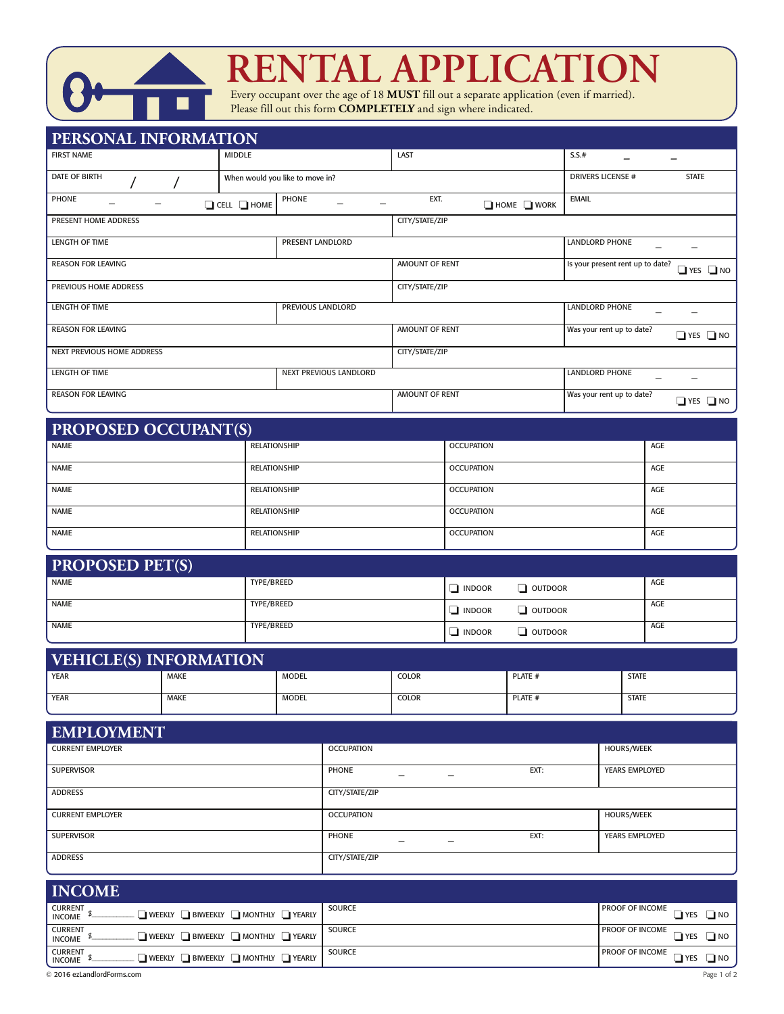

# **RENTAL APPLICATION**

Every occupant over the age of 18 **MUST** fill out a separate application (even if married). Please fill out this form **COMPLETELY** and sign where indicated.

| <b>PERSONAL INFORMATION</b>                |                         |                                 |                |                           |                                  |                      |  |
|--------------------------------------------|-------------------------|---------------------------------|----------------|---------------------------|----------------------------------|----------------------|--|
| <b>FIRST NAME</b>                          | <b>MIDDLE</b>           |                                 | LAST           |                           | S.S.#                            |                      |  |
| <b>DATE OF BIRTH</b>                       |                         | When would you like to move in? |                |                           | <b>DRIVERS LICENSE #</b>         | <b>STATE</b>         |  |
| PHONE                                      | $\Box$ CELL $\Box$ HOME | PHONE                           | EXT.           | $\Box$ HOME $\Box$ WORK   | <b>EMAIL</b>                     |                      |  |
| PRESENT HOME ADDRESS                       |                         |                                 | CITY/STATE/ZIP |                           |                                  |                      |  |
| <b>LENGTH OF TIME</b>                      |                         | PRESENT LANDLORD                |                |                           | <b>LANDLORD PHONE</b>            |                      |  |
| <b>REASON FOR LEAVING</b>                  |                         |                                 | AMOUNT OF RENT |                           | Is your present rent up to date? | $\Box$ YES $\Box$ NO |  |
| PREVIOUS HOME ADDRESS                      |                         |                                 | CITY/STATE/ZIP |                           |                                  |                      |  |
| PREVIOUS LANDLORD<br><b>LENGTH OF TIME</b> |                         |                                 |                | <b>LANDLORD PHONE</b>     |                                  |                      |  |
| <b>REASON FOR LEAVING</b>                  |                         | AMOUNT OF RENT                  |                | Was your rent up to date? | $\Box$ YES $\Box$ NO             |                      |  |
| NEXT PREVIOUS HOME ADDRESS                 |                         | CITY/STATE/ZIP                  |                |                           |                                  |                      |  |
| <b>LENGTH OF TIME</b>                      |                         | <b>NEXT PREVIOUS LANDLORD</b>   |                |                           | <b>LANDLORD PHONE</b>            |                      |  |
| <b>REASON FOR LEAVING</b>                  |                         | <b>AMOUNT OF RENT</b>           |                | Was your rent up to date? | $\Box$ YES $\Box$ NO             |                      |  |

| <b>PROPOSED OCCUPANT(S)</b> |                     |                   |            |  |  |  |  |
|-----------------------------|---------------------|-------------------|------------|--|--|--|--|
| NAME                        | RELATIONSHIP        | <b>OCCUPATION</b> | AGE        |  |  |  |  |
| <b>NAME</b>                 | <b>RELATIONSHIP</b> | <b>OCCUPATION</b> | <b>AGE</b> |  |  |  |  |
| <b>NAME</b>                 | <b>RELATIONSHIP</b> | <b>OCCUPATION</b> | AGE        |  |  |  |  |
| NAME                        | <b>RELATIONSHIP</b> | <b>OCCUPATION</b> | AGE        |  |  |  |  |
| <b>NAME</b>                 | <b>RELATIONSHIP</b> | <b>OCCUPATION</b> | AGE        |  |  |  |  |

| <b>PROPOSED PET(S)</b> |            |                       |         |     |
|------------------------|------------|-----------------------|---------|-----|
| <b>NAME</b>            | TYPE/BREED | $\blacksquare$ INDOOR | OUTDOOR | AGE |
| NAME                   | TYPE/BREED | $\blacksquare$ INDOOR | OUTDOOR | AGE |
| NAME                   | TYPE/BREED | $\blacksquare$ INDOOR | OUTDOOR | AGE |

| <b>VEHICLE(S) INFORMATION</b> |             |              |              |         |              |  |  |
|-------------------------------|-------------|--------------|--------------|---------|--------------|--|--|
| <b>YEAR</b>                   | <b>MAKE</b> | <b>MODEL</b> | <b>COLOR</b> | PLATE # | <b>STATE</b> |  |  |
| <b>YEAR</b>                   | <b>MAKE</b> | <b>MODEL</b> | <b>COLOR</b> | PLATE # | <b>STATE</b> |  |  |

| <b>EMPLOYMENT</b>       |                   |      |                       |
|-------------------------|-------------------|------|-----------------------|
| <b>CURRENT EMPLOYER</b> | <b>OCCUPATION</b> |      | <b>HOURS/WEEK</b>     |
| <b>SUPERVISOR</b>       | PHONE             | EXT: | <b>YEARS EMPLOYED</b> |
| <b>ADDRESS</b>          | CITY/STATE/ZIP    |      |                       |
| <b>CURRENT EMPLOYER</b> | <b>OCCUPATION</b> |      | <b>HOURS/WEEK</b>     |
| <b>SUPERVISOR</b>       | <b>PHONE</b>      | EXT: | <b>YEARS EMPLOYED</b> |
| <b>ADDRESS</b>          | CITY/STATE/ZIP    |      |                       |

| <b>INCOME</b>                                                                                 |               |                                                        |
|-----------------------------------------------------------------------------------------------|---------------|--------------------------------------------------------|
| <b>CURRENT</b><br>$\Box$ weekly $\Box$ Biweekly $\Box$ Monthly $\Box$ Yearly<br><b>INCOME</b> | <b>SOURCE</b> | $\sqrt{\frac{P}{P}}$ PROOF OF INCOME                   |
| <b>CURRENT</b><br>$\Box$ weekly $\Box$ biweekly $\Box$ monthly $\Box$ yearly<br><b>INCOME</b> | <b>SOURCE</b> | $\sqrt{P}$ PROOF OF INCOME $\sqrt{P}$ YES $\sqrt{P}$ . |
| <b>CURRENT</b><br>$\Box$ weekly $\Box$ biweekly $\Box$ monthly $\Box$ yearly<br><b>INCOME</b> | <b>SOURCE</b> | <b>PROOF OF INCOME</b><br><b>I</b> YES<br>ו∟           |